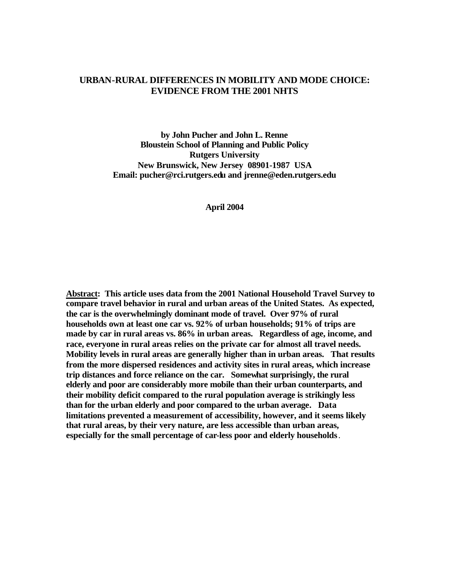## **URBAN-RURAL DIFFERENCES IN MOBILITY AND MODE CHOICE: EVIDENCE FROM THE 2001 NHTS**

**by John Pucher and John L. Renne Bloustein School of Planning and Public Policy Rutgers University New Brunswick, New Jersey 08901-1987 USA Email: pucher@rci.rutgers.edu and jrenne@eden.rutgers.edu**

**April 2004**

**Abstract: This article uses data from the 2001 National Household Travel Survey to compare travel behavior in rural and urban areas of the United States. As expected, the car is the overwhelmingly dominant mode of travel. Over 97% of rural households own at least one car vs. 92% of urban households; 91% of trips are made by car in rural areas vs. 86% in urban areas. Regardless of age, income, and race, everyone in rural areas relies on the private car for almost all travel needs. Mobility levels in rural areas are generally higher than in urban areas. That results from the more dispersed residences and activity sites in rural areas, which increase trip distances and force reliance on the car. Somewhat surprisingly, the rural elderly and poor are considerably more mobile than their urban counterparts, and their mobility deficit compared to the rural population average is strikingly less than for the urban elderly and poor compared to the urban average. Data limitations prevented a measurement of accessibility, however, and it seems likely that rural areas, by their very nature, are less accessible than urban areas, especially for the small percentage of car-less poor and elderly households**.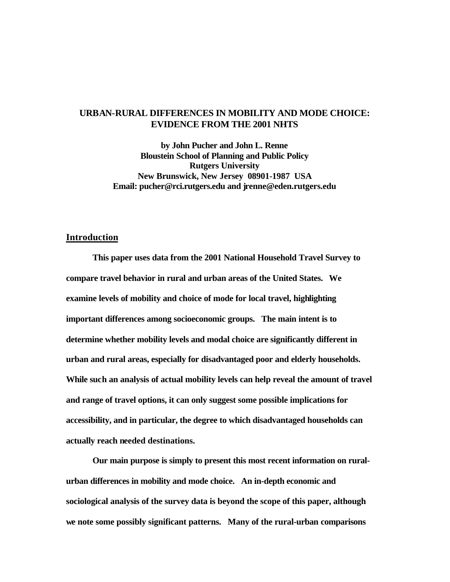# **URBAN-RURAL DIFFERENCES IN MOBILITY AND MODE CHOICE: EVIDENCE FROM THE 2001 NHTS**

**by John Pucher and John L. Renne Bloustein School of Planning and Public Policy Rutgers University New Brunswick, New Jersey 08901-1987 USA Email: pucher@rci.rutgers.edu and jrenne@eden.rutgers.edu**

### **Introduction**

**This paper uses data from the 2001 National Household Travel Survey to compare travel behavior in rural and urban areas of the United States. We examine levels of mobility and choice of mode for local travel, highlighting important differences among socioeconomic groups. The main intent is to determine whether mobility levels and modal choice are significantly different in urban and rural areas, especially for disadvantaged poor and elderly households. While such an analysis of actual mobility levels can help reveal the amount of travel and range of travel options, it can only suggest some possible implications for accessibility, and in particular, the degree to which disadvantaged households can actually reach needed destinations.**

**Our main purpose is simply to present this most recent information on ruralurban differences in mobility and mode choice. An in-depth economic and sociological analysis of the survey data is beyond the scope of this paper, although we note some possibly significant patterns. Many of the rural-urban comparisons**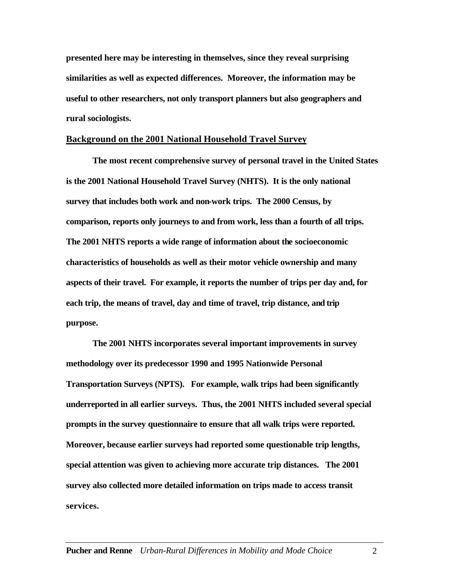**presented here may be interesting in themselves, since they reveal surprising similarities as well as expected differences. Moreover, the information may be useful to other researchers, not only transport planners but also geographers and rural sociologists.**

## **Background on the 2001 National Household Travel Survey**

**The most recent comprehensive survey of personal travel in the United States is the 2001 National Household Travel Survey (NHTS). It is the only national survey that includes both work and non-work trips. The 2000 Census, by comparison, reports only journeys to and from work, less than a fourth of all trips. The 2001 NHTS reports a wide range of information about the socioeconomic characteristics of households as well as their motor vehicle ownership and many aspects of their travel. For example, it reports the number of trips per day and, for each trip, the means of travel, day and time of travel, trip distance, and trip purpose.**

**The 2001 NHTS incorporates several important improvements in survey methodology over its predecessor 1990 and 1995 Nationwide Personal Transportation Surveys (NPTS). For example, walk trips had been significantly underreported in all earlier surveys. Thus, the 2001 NHTS included several special prompts in the survey questionnaire to ensure that all walk trips were reported. Moreover, because earlier surveys had reported some questionable trip lengths, special attention was given to achieving more accurate trip distances. The 2001 survey also collected more detailed information on trips made to access transit services.**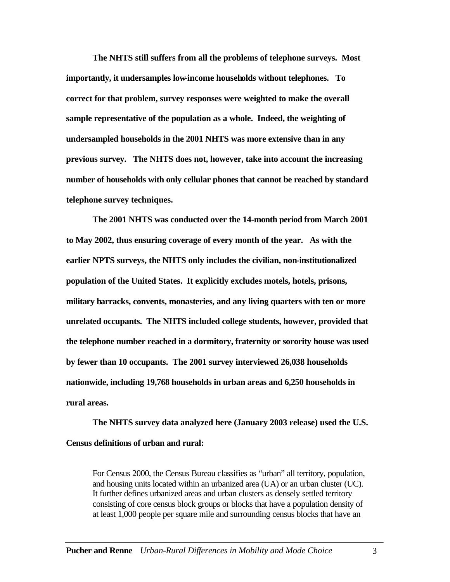**The NHTS still suffers from all the problems of telephone surveys. Most importantly, it undersamples low-income households without telephones. To correct for that problem, survey responses were weighted to make the overall sample representative of the population as a whole. Indeed, the weighting of undersampled households in the 2001 NHTS was more extensive than in any previous survey. The NHTS does not, however, take into account the increasing number of households with only cellular phones that cannot be reached by standard telephone survey techniques.**

**The 2001 NHTS was conducted over the 14-month period from March 2001 to May 2002, thus ensuring coverage of every month of the year. As with the earlier NPTS surveys, the NHTS only includes the civilian, non-institutionalized population of the United States. It explicitly excludes motels, hotels, prisons, military barracks, convents, monasteries, and any living quarters with ten or more unrelated occupants. The NHTS included college students, however, provided that the telephone number reached in a dormitory, fraternity or sorority house was used by fewer than 10 occupants. The 2001 survey interviewed 26,038 households nationwide, including 19,768 households in urban areas and 6,250 households in rural areas.** 

**The NHTS survey data analyzed here (January 2003 release) used the U.S. Census definitions of urban and rural:** 

For Census 2000, the Census Bureau classifies as "urban" all territory, population, and housing units located within an urbanized area (UA) or an urban cluster (UC). It further defines urbanized areas and urban clusters as densely settled territory consisting of core census block groups or blocks that have a population density of at least 1,000 people per square mile and surrounding census blocks that have an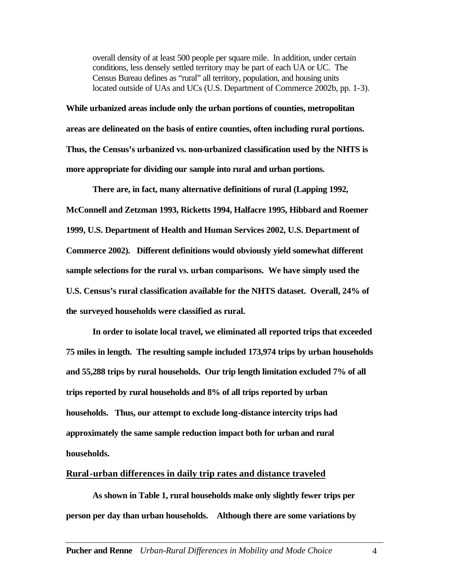overall density of at least 500 people per square mile. In addition, under certain conditions, less densely settled territory may be part of each UA or UC. The Census Bureau defines as "rural" all territory, population, and housing units located outside of UAs and UCs (U.S. Department of Commerce 2002b, pp. 1-3).

**While urbanized areas include only the urban portions of counties, metropolitan areas are delineated on the basis of entire counties, often including rural portions. Thus, the Census's urbanized vs. non-urbanized classification used by the NHTS is more appropriate for dividing our sample into rural and urban portions.**

**There are, in fact, many alternative definitions of rural (Lapping 1992, McConnell and Zetzman 1993, Ricketts 1994, Halfacre 1995, Hibbard and Roemer 1999, U.S. Department of Health and Human Services 2002, U.S. Department of Commerce 2002). Different definitions would obviously yield somewhat different sample selections for the rural vs. urban comparisons. We have simply used the U.S. Census's rural classification available for the NHTS dataset. Overall, 24% of the surveyed households were classified as rural.** 

**In order to isolate local travel, we eliminated all reported trips that exceeded 75 miles in length. The resulting sample included 173,974 trips by urban households and 55,288 trips by rural households. Our trip length limitation excluded 7% of all trips reported by rural households and 8% of all trips reported by urban households. Thus, our attempt to exclude long-distance intercity trips had approximately the same sample reduction impact both for urban and rural households.**

#### **Rural-urban differences in daily trip rates and distance traveled**

**As shown in Table 1, rural households make only slightly fewer trips per person per day than urban households. Although there are some variations by**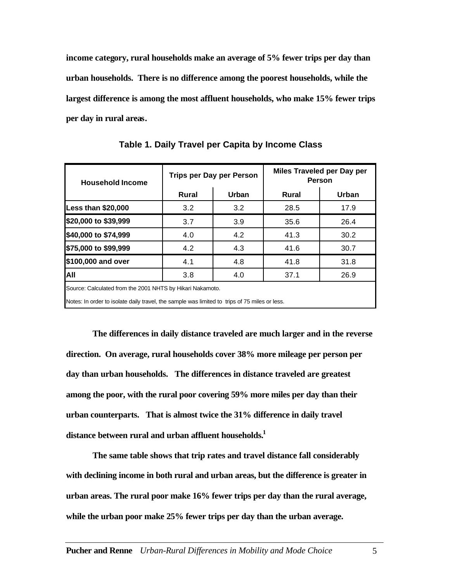**income category, rural households make an average of 5% fewer trips per day than urban households. There is no difference among the poorest households, while the largest difference is among the most affluent households, who make 15% fewer trips per day in rural areas.**

| <b>Household Income</b>                                                                                                                                    |                       | <b>Trips per Day per Person</b> | Miles Traveled per Day per<br><b>Person</b> |       |  |  |
|------------------------------------------------------------------------------------------------------------------------------------------------------------|-----------------------|---------------------------------|---------------------------------------------|-------|--|--|
|                                                                                                                                                            | <b>Rural</b><br>Urban |                                 | <b>Rural</b>                                | Urban |  |  |
| Less than \$20,000                                                                                                                                         | 3.2                   | 3.2                             | 28.5                                        | 17.9  |  |  |
| \$20,000 to \$39,999                                                                                                                                       | 3.7                   | 3.9                             | 35.6                                        | 26.4  |  |  |
| \$40,000 to \$74,999                                                                                                                                       | 4.0                   | 4.2                             | 41.3                                        | 30.2  |  |  |
| \$75,000 to \$99,999                                                                                                                                       | 4.2                   | 4.3                             | 41.6                                        | 30.7  |  |  |
| \$100,000 and over                                                                                                                                         | 4.1                   | 4.8                             | 41.8                                        | 31.8  |  |  |
| All                                                                                                                                                        | 3.8                   | 4.0                             | 37.1                                        | 26.9  |  |  |
| Source: Calculated from the 2001 NHTS by Hikari Nakamoto.<br>Notes: In order to isolate daily travel, the sample was limited to trips of 75 miles or less. |                       |                                 |                                             |       |  |  |

**Table 1. Daily Travel per Capita by Income Class**

**The differences in daily distance traveled are much larger and in the reverse direction. On average, rural households cover 38% more mileage per person per day than urban households. The differences in distance traveled are greatest among the poor, with the rural poor covering 59% more miles per day than their urban counterparts. That is almost twice the 31% difference in daily travel distance between rural and urban affluent households.<sup>1</sup>**

**The same table shows that trip rates and travel distance fall considerably with declining income in both rural and urban areas, but the difference is greater in urban areas. The rural poor make 16% fewer trips per day than the rural average, while the urban poor make 25% fewer trips per day than the urban average.**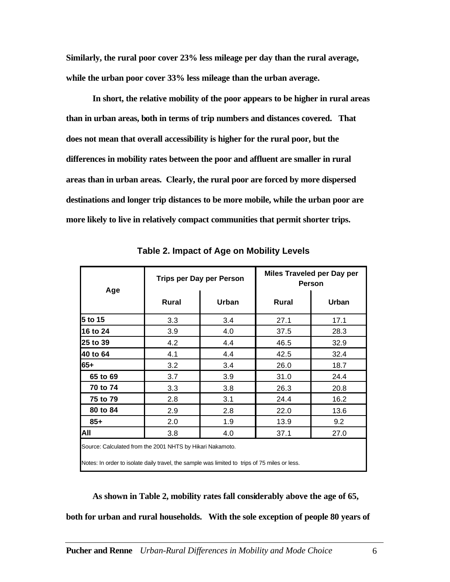**Similarly, the rural poor cover 23% less mileage per day than the rural average, while the urban poor cover 33% less mileage than the urban average.** 

**In short, the relative mobility of the poor appears to be higher in rural areas than in urban areas, both in terms of trip numbers and distances covered. That does not mean that overall accessibility is higher for the rural poor, but the differences in mobility rates between the poor and affluent are smaller in rural areas than in urban areas. Clearly, the rural poor are forced by more dispersed destinations and longer trip distances to be more mobile, while the urban poor are more likely to live in relatively compact communities that permit shorter trips.** 

| Age                                                                                                                                                        |       | <b>Trips per Day per Person</b> | Miles Traveled per Day per<br><b>Person</b> |       |  |
|------------------------------------------------------------------------------------------------------------------------------------------------------------|-------|---------------------------------|---------------------------------------------|-------|--|
|                                                                                                                                                            | Rural | Urban                           | Rural                                       | Urban |  |
| 5 to 15                                                                                                                                                    | 3.3   | 3.4                             | 27.1                                        | 17.1  |  |
| 16 to 24                                                                                                                                                   | 3.9   | 4.0                             | 37.5                                        | 28.3  |  |
| 25 to 39                                                                                                                                                   | 4.2   | 4.4                             | 46.5                                        | 32.9  |  |
| 40 to 64                                                                                                                                                   | 4.1   | 4.4                             | 42.5                                        | 32.4  |  |
| $65+$                                                                                                                                                      | 3.2   | 3.4                             | 26.0                                        | 18.7  |  |
| 65 to 69                                                                                                                                                   | 3.7   | 3.9                             | 31.0                                        | 24.4  |  |
| 70 to 74                                                                                                                                                   | 3.3   | 3.8                             | 26.3                                        | 20.8  |  |
| 75 to 79                                                                                                                                                   | 2.8   | 3.1                             | 24.4                                        | 16.2  |  |
| 80 to 84                                                                                                                                                   | 2.9   | 2.8                             | 22.0                                        | 13.6  |  |
| $85+$                                                                                                                                                      | 2.0   | 1.9                             | 13.9                                        | 9.2   |  |
| All                                                                                                                                                        | 3.8   | 4.0                             | 37.1                                        | 27.0  |  |
| Source: Calculated from the 2001 NHTS by Hikari Nakamoto.<br>Notes: In order to isolate daily travel, the sample was limited to trips of 75 miles or less. |       |                                 |                                             |       |  |

**Table 2. Impact of Age on Mobility Levels**

**As shown in Table 2, mobility rates fall considerably above the age of 65,** 

**both for urban and rural households. With the sole exception of people 80 years of**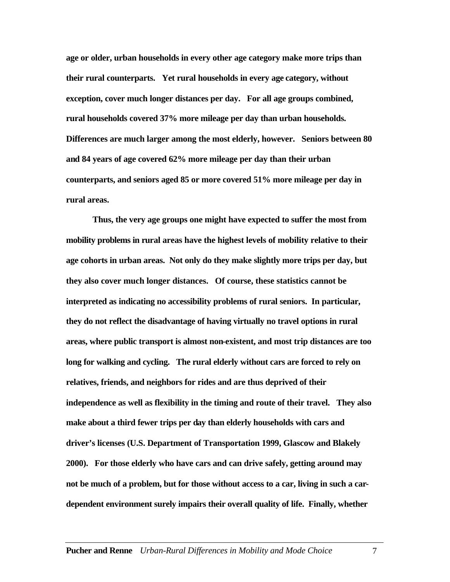**age or older, urban households in every other age category make more trips than their rural counterparts. Yet rural households in every age category, without exception, cover much longer distances per day. For all age groups combined, rural households covered 37% more mileage per day than urban households. Differences are much larger among the most elderly, however. Seniors between 80 and 84 years of age covered 62% more mileage per day than their urban counterparts, and seniors aged 85 or more covered 51% more mileage per day in rural areas.**

**Thus, the very age groups one might have expected to suffer the most from mobility problems in rural areas have the highest levels of mobility relative to their age cohorts in urban areas. Not only do they make slightly more trips per day, but they also cover much longer distances. Of course, these statistics cannot be interpreted as indicating no accessibility problems of rural seniors. In particular, they do not reflect the disadvantage of having virtually no travel options in rural areas, where public transport is almost non-existent, and most trip distances are too long for walking and cycling. The rural elderly without cars are forced to rely on relatives, friends, and neighbors for rides and are thus deprived of their independence as well as flexibility in the timing and route of their travel. They also make about a third fewer trips per day than elderly households with cars and driver's licenses (U.S. Department of Transportation 1999, Glascow and Blakely 2000). For those elderly who have cars and can drive safely, getting around may not be much of a problem, but for those without access to a car, living in such a cardependent environment surely impairs their overall quality of life. Finally, whether**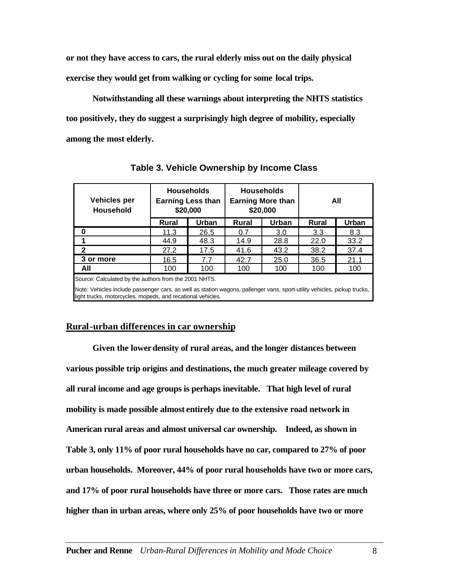**or not they have access to cars, the rural elderly miss out on the daily physical exercise they would get from walking or cycling for some local trips.** 

**Notwithstanding all these warnings about interpreting the NHTS statistics too positively, they do suggest a surprisingly high degree of mobility, especially among the most elderly.**

| <b>Vehicles per</b><br><b>Household</b>                                                                                                                                                 |              | <b>Households</b><br><b>Earning Less than</b><br>\$20,000 | <b>Households</b><br><b>Earning More than</b><br>\$20,000 |      | All          |       |
|-----------------------------------------------------------------------------------------------------------------------------------------------------------------------------------------|--------------|-----------------------------------------------------------|-----------------------------------------------------------|------|--------------|-------|
|                                                                                                                                                                                         | <b>Rural</b> | Urban                                                     | Urban<br>Rural                                            |      | <b>Rural</b> | Urban |
| 0                                                                                                                                                                                       | 11.3         | 26.5                                                      | 0.7                                                       | 3.0  | 3.3          | 8.3   |
|                                                                                                                                                                                         | 44.9         | 48.3                                                      | 14.9                                                      | 28.8 | 22.0         | 33.2  |
| $\mathbf{c}$                                                                                                                                                                            | 27.2         | 17.5                                                      | 41.6                                                      | 43.2 | 38.2         | 37.4  |
| 3 or more                                                                                                                                                                               | 16.5         | 7.7                                                       | 42.7                                                      | 25.0 | 36.5         | 21.1  |
| All                                                                                                                                                                                     | 100          | 100                                                       | 100                                                       | 100  | 100          | 100   |
| Source: Calculated by the authors from the 2001 NHTS.                                                                                                                                   |              |                                                           |                                                           |      |              |       |
| Note: Vehicles include passenger cars, as well as station wagons, pallenger vans, sport-utility vehicles, pickup trucks,<br>light trucks, motorcycles, mopeds, and recational vehicles. |              |                                                           |                                                           |      |              |       |

**Table 3. Vehicle Ownership by Income Class**

# **Rural-urban differences in car ownership**

**Given the lower density of rural areas, and the longer distances between various possible trip origins and destinations, the much greater mileage covered by all rural income and age groups is perhaps inevitable. That high level of rural mobility is made possible almost entirely due to the extensive road network in American rural areas and almost universal car ownership. Indeed, as shown in Table 3, only 11% of poor rural households have no car, compared to 27% of poor urban households. Moreover, 44% of poor rural households have two or more cars, and 17% of poor rural households have three or more cars. Those rates are much higher than in urban areas, where only 25% of poor households have two or more**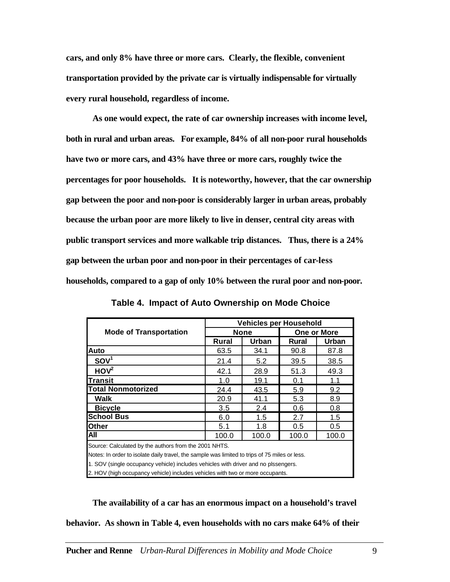**cars, and only 8% have three or more cars. Clearly, the flexible, convenient transportation provided by the private car is virtually indispensable for virtually every rural household, regardless of income.**

**As one would expect, the rate of car ownership increases with income level, both in rural and urban areas. For example, 84% of all non-poor rural households have two or more cars, and 43% have three or more cars, roughly twice the percentages for poor households. It is noteworthy, however, that the car ownership gap between the poor and non-poor is considerably larger in urban areas, probably because the urban poor are more likely to live in denser, central city areas with public transport services and more walkable trip distances. Thus, there is a 24% gap between the urban poor and non-poor in their percentages of car-less households, compared to a gap of only 10% between the rural poor and non-poor.**

|                                                                                               | <b>Vehicles per Household</b> |             |                    |       |  |  |  |
|-----------------------------------------------------------------------------------------------|-------------------------------|-------------|--------------------|-------|--|--|--|
| <b>Mode of Transportation</b>                                                                 |                               | <b>None</b> | <b>One or More</b> |       |  |  |  |
|                                                                                               | Rural                         | Urban       | <b>Rural</b>       | Urban |  |  |  |
| <b>Auto</b>                                                                                   | 63.5                          | 34.1        | 90.8               | 87.8  |  |  |  |
| SOV <sup>1</sup>                                                                              | 21.4                          | 5.2         | 39.5               | 38.5  |  |  |  |
| HOV <sup>2</sup>                                                                              | 42.1                          | 28.9        | 51.3               | 49.3  |  |  |  |
| <b>Transit</b>                                                                                | 1.0                           | 19.1        | 0.1                | 1.1   |  |  |  |
| <b>Total Nonmotorized</b>                                                                     | 24.4                          | 43.5        | 5.9                | 9.2   |  |  |  |
| Walk                                                                                          | 20.9                          | 41.1        | 5.3                | 8.9   |  |  |  |
| <b>Bicycle</b>                                                                                | 3.5                           | 2.4         | 0.6                | 0.8   |  |  |  |
| <b>School Bus</b>                                                                             | 6.0                           | 1.5         | 2.7                | 1.5   |  |  |  |
| <b>Other</b>                                                                                  | 5.1                           | 1.8         | 0.5                | 0.5   |  |  |  |
| All                                                                                           | 100.0                         | 100.0       | 100.0              | 100.0 |  |  |  |
| Source: Calculated by the authors from the 2001 NHTS.                                         |                               |             |                    |       |  |  |  |
| Notes: In order to isolate daily travel, the sample was limited to trips of 75 miles or less. |                               |             |                    |       |  |  |  |
| 1. SOV (single occupancy vehicle) includes vehicles with driver and no plssengers.            |                               |             |                    |       |  |  |  |
| 2. HOV (high occupancy vehicle) includes vehicles with two or more occupants.                 |                               |             |                    |       |  |  |  |

**Table 4. Impact of Auto Ownership on Mode Choice**

**The availability of a car has an enormous impact on a household's travel** 

**behavior. As shown in Table 4, even households with no cars make 64% of their**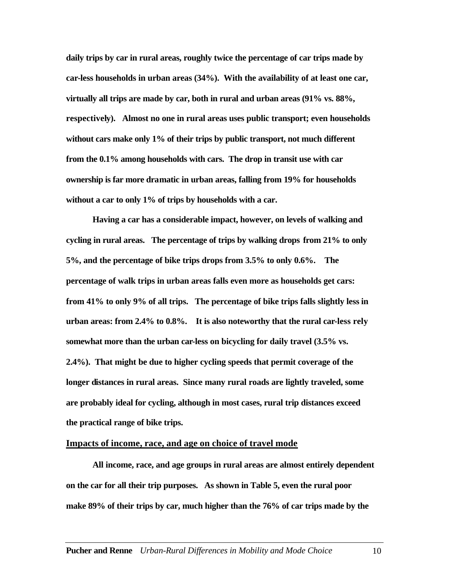**daily trips by car in rural areas, roughly twice the percentage of car trips made by car-less households in urban areas (34%). With the availability of at least one car, virtually all trips are made by car, both in rural and urban areas (91% vs. 88%, respectively). Almost no one in rural areas uses public transport; even households without cars make only 1% of their trips by public transport, not much different from the 0.1% among households with cars. The drop in transit use with car ownership is far more dramatic in urban areas, falling from 19% for households without a car to only 1% of trips by households with a car.** 

**Having a car has a considerable impact, however, on levels of walking and cycling in rural areas. The percentage of trips by walking drops from 21% to only 5%, and the percentage of bike trips drops from 3.5% to only 0.6%. The percentage of walk trips in urban areas falls even more as households get cars: from 41% to only 9% of all trips. The percentage of bike trips falls slightly less in urban areas: from 2.4% to 0.8%. It is also noteworthy that the rural car-less rely somewhat more than the urban car-less on bicycling for daily travel (3.5% vs. 2.4%). That might be due to higher cycling speeds that permit coverage of the longer distances in rural areas. Since many rural roads are lightly traveled, some are probably ideal for cycling, although in most cases, rural trip distances exceed the practical range of bike trips.** 

### **Impacts of income, race, and age on choice of travel mode**

**All income, race, and age groups in rural areas are almost entirely dependent on the car for all their trip purposes. As shown in Table 5, even the rural poor make 89% of their trips by car, much higher than the 76% of car trips made by the**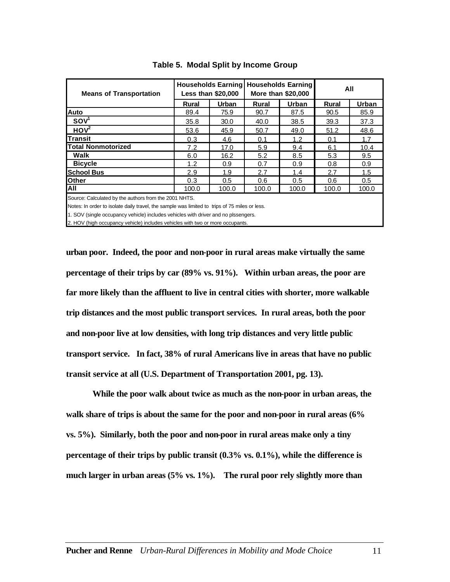| <b>Means of Transportation</b>                        | <b>Households Earning</b><br><b>Less than \$20,000</b> |       | <b>Households Earning</b><br>More than \$20,000 |       | All          |       |  |
|-------------------------------------------------------|--------------------------------------------------------|-------|-------------------------------------------------|-------|--------------|-------|--|
|                                                       | <b>Rural</b>                                           | Urban | Rural                                           | Urban | <b>Rural</b> | Urban |  |
| <b>Auto</b>                                           | 89.4                                                   | 75.9  | 90.7                                            | 87.5  | 90.5         | 85.9  |  |
| SOV <sup>1</sup>                                      | 35.8                                                   | 30.0  | 40.0                                            | 38.5  | 39.3         | 37.3  |  |
| HOV <sup>2</sup>                                      | 53.6                                                   | 45.9  | 50.7                                            | 49.0  | 51.2         | 48.6  |  |
| lTransit                                              | 0.3                                                    | 4.6   | 0.1                                             | 1.2   | 0.1          | 1.7   |  |
| Total Nonmotorized                                    | 7.2                                                    | 17.0  | 5.9                                             | 9.4   | 6.1          | 10.4  |  |
| Walk                                                  | 6.0                                                    | 16.2  | 5.2                                             | 8.5   | 5.3          | 9.5   |  |
| <b>Bicycle</b>                                        | 1.2                                                    | 0.9   | 0.7                                             | 0.9   | 0.8          | 0.9   |  |
| <b>School Bus</b>                                     | 2.9                                                    | 1.9   | 2.7                                             | 1.4   | 2.7          | 1.5   |  |
| <b>Other</b>                                          | 0.3                                                    | 0.5   | 0.6                                             | 0.5   | 0.6          | 0.5   |  |
| IAII                                                  | 100.0                                                  | 100.0 | 100.0                                           | 100.0 | 100.0        | 100.0 |  |
| Source: Calculated by the authors from the 2001 NHTS. |                                                        |       |                                                 |       |              |       |  |

| Table 5. Modal Split by Income Group |  |  |  |  |
|--------------------------------------|--|--|--|--|
|--------------------------------------|--|--|--|--|

Notes: In order to isolate daily travel, the sample was limited to trips of 75 miles or less.

1. SOV (single occupancy vehicle) includes vehicles with driver and no plssengers.

2. HOV (high occupancy vehicle) includes vehicles with two or more occupants.

**urban poor. Indeed, the poor and non-poor in rural areas make virtually the same percentage of their trips by car (89% vs. 91%). Within urban areas, the poor are far more likely than the affluent to live in central cities with shorter, more walkable trip distances and the most public transport services. In rural areas, both the poor and non-poor live at low densities, with long trip distances and very little public transport service. In fact, 38% of rural Americans live in areas that have no public transit service at all (U.S. Department of Transportation 2001, pg. 13).** 

**While the poor walk about twice as much as the non-poor in urban areas, the walk share of trips is about the same for the poor and non-poor in rural areas (6% vs. 5%). Similarly, both the poor and non-poor in rural areas make only a tiny percentage of their trips by public transit (0.3% vs. 0.1%), while the difference is much larger in urban areas (5% vs. 1%). The rural poor rely slightly more than**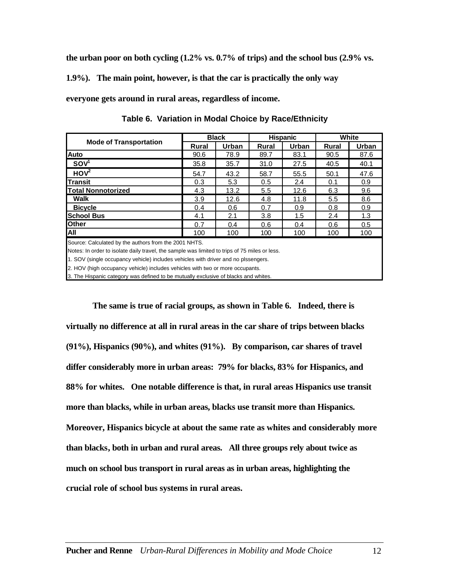**the urban poor on both cycling (1.2% vs. 0.7% of trips) and the school bus (2.9% vs.** 

**1.9%). The main point, however, is that the car is practically the only way** 

**everyone gets around in rural areas, regardless of income.**

| <b>Mode of Transportation</b>                        | <b>Black</b> |       | <b>Hispanic</b> |              | White        |       |
|------------------------------------------------------|--------------|-------|-----------------|--------------|--------------|-------|
|                                                      | <b>Rural</b> | Urban | <b>Rural</b>    | <b>Urban</b> | <b>Rural</b> | Urban |
| Auto                                                 | 90.6         | 78.9  | 89.7            | 83.1         | 90.5         | 87.6  |
| SOV <sup>1</sup>                                     | 35.8         | 35.7  | 31.0            | 27.5         | 40.5         | 40.1  |
| HOV <sup>2</sup>                                     | 54.7         | 43.2  | 58.7            | 55.5         | 50.1         | 47.6  |
| lTransit                                             | 0.3          | 5.3   | 0.5             | 2.4          | 0.1          | 0.9   |
| <b>Total Nonnotorized</b>                            | 4.3          | 13.2  | 5.5             | 12.6         | 6.3          | 9.6   |
| <b>Walk</b>                                          | 3.9          | 12.6  | 4.8             | 11.8         | 5.5          | 8.6   |
| <b>Bicycle</b>                                       | 0.4          | 0.6   | 0.7             | 0.9          | 0.8          | 0.9   |
| <b>School Bus</b>                                    | 4.1          | 2.1   | 3.8             | 1.5          | 2.4          | 1.3   |
| <b>Other</b>                                         | 0.7          | 0.4   | 0.6             | 0.4          | 0.6          | 0.5   |
| All                                                  | 100          | 100   | 100             | 100          | 100          | 100   |
| Source: Calculated by the authors from the 2001 NHTS |              |       |                 |              |              |       |

**Table 6. Variation in Modal Choice by Race/Ethnicity**

Source: Calculated by the authors from the 2001 NHTS.

Notes: In order to isolate daily travel, the sample was limited to trips of 75 miles or less.

1. SOV (single occupancy vehicle) includes vehicles with driver and no plssengers.

2. HOV (high occupancy vehicle) includes vehicles with two or more occupants.

3. The Hispanic category was defined to be mutually exclusive of blacks and whites.

**The same is true of racial groups, as shown in Table 6. Indeed, there is virtually no difference at all in rural areas in the car share of trips between blacks (91%), Hispanics (90%), and whites (91%). By comparison, car shares of travel differ considerably more in urban areas: 79% for blacks, 83% for Hispanics, and 88% for whites. One notable difference is that, in rural areas Hispanics use transit more than blacks, while in urban areas, blacks use transit more than Hispanics. Moreover, Hispanics bicycle at about the same rate as whites and considerably more than blacks, both in urban and rural areas. All three groups rely about twice as much on school bus transport in rural areas as in urban areas, highlighting the crucial role of school bus systems in rural areas.**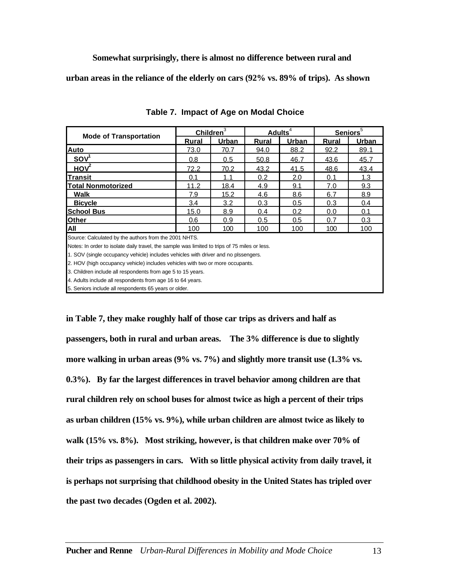### **Somewhat surprisingly, there is almost no difference between rural and**

**urban areas in the reliance of the elderly on cars (92% vs. 89% of trips). As shown** 

|                                                                                               | <b>Children</b> |              |       | Adults <sup>4</sup> |              | Seniors <sup>5</sup> |  |
|-----------------------------------------------------------------------------------------------|-----------------|--------------|-------|---------------------|--------------|----------------------|--|
| <b>Mode of Transportation</b>                                                                 | <b>Rural</b>    | <b>Urban</b> | Rural | Urban               | <b>Rural</b> | Urban                |  |
| Auto                                                                                          | 73.0            | 70.7         | 94.0  | 88.2                | 92.2         | 89.1                 |  |
| SOV <sup>1</sup>                                                                              | 0.8             | 0.5          | 50.8  | 46.7                | 43.6         | 45.7                 |  |
| $\overline{HOV}^2$                                                                            | 72.2            | 70.2         | 43.2  | 41.5                | 48.6         | 43.4                 |  |
| Transit                                                                                       | 0.1             | 1.1          | 0.2   | 2.0                 | 0.1          | 1.3                  |  |
| <b>Total Nonmotorized</b>                                                                     | 11.2            | 18.4         | 4.9   | 9.1                 | 7.0          | 9.3                  |  |
| Walk                                                                                          | 7.9             | 15.2         | 4.6   | 8.6                 | 6.7          | 8.9                  |  |
| <b>Bicycle</b>                                                                                | 3.4             | 3.2          | 0.3   | 0.5                 | 0.3          | 0.4                  |  |
| <b>School Bus</b>                                                                             | 15.0            | 8.9          | 0.4   | 0.2                 | 0.0          | 0.1                  |  |
| <b>Other</b>                                                                                  | 0.6             | 0.9          | 0.5   | 0.5                 | 0.7          | 0.3                  |  |
| All                                                                                           | 100             | 100          | 100   | 100                 | 100          | 100                  |  |
| Source: Calculated by the authors from the 2001 NHTS.                                         |                 |              |       |                     |              |                      |  |
| Notes: In order to isolate daily travel, the sample was limited to trips of 75 miles or less. |                 |              |       |                     |              |                      |  |
| 1. SOV (single occupancy vehicle) includes vehicles with driver and no plssengers.            |                 |              |       |                     |              |                      |  |
| 2. HOV (high occupancy vehicle) includes vehicles with two or more occupants.                 |                 |              |       |                     |              |                      |  |
|                                                                                               |                 |              |       |                     |              |                      |  |

| Table 7. Impact of Age on Modal Choice |  |  |
|----------------------------------------|--|--|
|                                        |  |  |

3. Children include all respondents from age 5 to 15 years.

4. Adults include all respondents from age 16 to 64 years.

5. Seniors include all respondents 65 years or older.

**in Table 7, they make roughly half of those car trips as drivers and half as passengers, both in rural and urban areas. The 3% difference is due to slightly more walking in urban areas (9% vs. 7%) and slightly more transit use (1.3% vs. 0.3%). By far the largest differences in travel behavior among children are that rural children rely on school buses for almost twice as high a percent of their trips as urban children (15% vs. 9%), while urban children are almost twice as likely to walk (15% vs. 8%). Most striking, however, is that children make over 70% of their trips as passengers in cars. With so little physical activity from daily travel, it is perhaps not surprising that childhood obesity in the United States has tripled over the past two decades (Ogden et al. 2002).**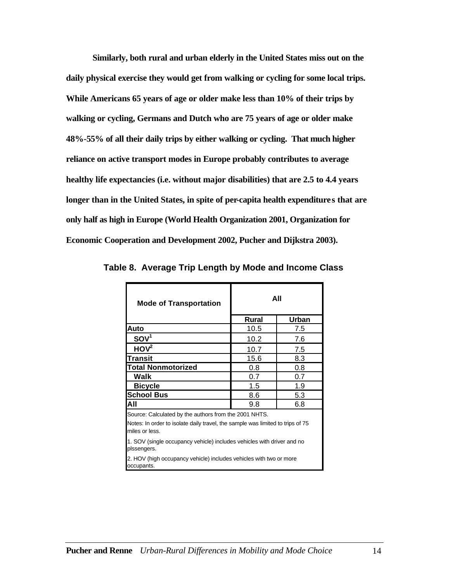**Similarly, both rural and urban elderly in the United States miss out on the daily physical exercise they would get from walking or cycling for some local trips. While Americans 65 years of age or older make less than 10% of their trips by walking or cycling, Germans and Dutch who are 75 years of age or older make 48%-55% of all their daily trips by either walking or cycling. That much higher reliance on active transport modes in Europe probably contributes to average healthy life expectancies (i.e. without major disabilities) that are 2.5 to 4.4 years longer than in the United States, in spite of per-capita health expenditures that are only half as high in Europe (World Health Organization 2001, Organization for Economic Cooperation and Development 2002, Pucher and Dijkstra 2003).**

| <b>Mode of Transportation</b>                                                                                                                             | All                                                                |       |  |  |  |
|-----------------------------------------------------------------------------------------------------------------------------------------------------------|--------------------------------------------------------------------|-------|--|--|--|
|                                                                                                                                                           | <b>Rural</b>                                                       | Urban |  |  |  |
| Auto                                                                                                                                                      | 10.5                                                               | 7.5   |  |  |  |
| SOV <sup>1</sup>                                                                                                                                          | 10.2                                                               | 7.6   |  |  |  |
| HOV <sup>2</sup>                                                                                                                                          | 10.7                                                               | 7.5   |  |  |  |
| <b>Transit</b>                                                                                                                                            | 15.6                                                               | 8.3   |  |  |  |
| <b>Total Nonmotorized</b>                                                                                                                                 | 0.8                                                                | 0.8   |  |  |  |
| Walk                                                                                                                                                      | 0.7                                                                | 0.7   |  |  |  |
| <b>Bicycle</b>                                                                                                                                            | 1.5                                                                | 1.9   |  |  |  |
| <b>School Bus</b>                                                                                                                                         | 8.6                                                                | 5.3   |  |  |  |
| All                                                                                                                                                       | 9.8                                                                | 6.8   |  |  |  |
| Source: Calculated by the authors from the 2001 NHTS.<br>Notes: In order to isolate daily travel, the sample was limited to trips of 75<br>miles or less. |                                                                    |       |  |  |  |
| 1. SOV (single occupancy vehicle) includes vehicles with driver and no<br>plssengers.                                                                     |                                                                    |       |  |  |  |
| occupants.                                                                                                                                                | 2. HOV (high occupancy vehicle) includes vehicles with two or more |       |  |  |  |

**Table 8. Average Trip Length by Mode and Income Class**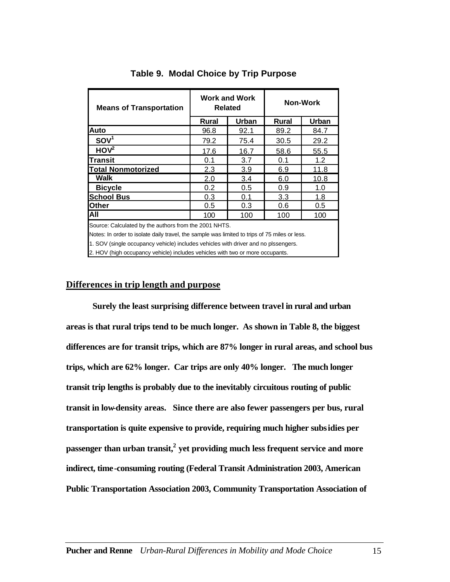| <b>Means of Transportation</b>                                                                |                                                                                    | <b>Work and Work</b><br><b>Related</b> | <b>Non-Work</b> |               |  |  |  |
|-----------------------------------------------------------------------------------------------|------------------------------------------------------------------------------------|----------------------------------------|-----------------|---------------|--|--|--|
|                                                                                               | <b>Rural</b>                                                                       | Urban                                  | Rural           | Urban         |  |  |  |
| Auto                                                                                          | 96.8                                                                               | 92.1                                   | 89.2            | 84.7          |  |  |  |
| SOV <sup>1</sup>                                                                              | 79.2                                                                               | 75.4                                   | 30.5            | 29.2          |  |  |  |
| HOV <sup>2</sup>                                                                              | 17.6                                                                               | 16.7                                   | 58.6            | 55.5          |  |  |  |
| <b>Transit</b>                                                                                | 0.1                                                                                | 3.7                                    | 0.1             | $1.2^{\circ}$ |  |  |  |
| <b>Total Nonmotorized</b>                                                                     | 2.3                                                                                | 3.9                                    | 6.9             | 11.8          |  |  |  |
| Walk                                                                                          | 2.0                                                                                | 3.4                                    | 6.0             | 10.8          |  |  |  |
| <b>Bicycle</b>                                                                                | 0.2                                                                                | 0.5                                    | 0.9             | 1.0           |  |  |  |
| <b>School Bus</b>                                                                             | 0.3                                                                                | 0.1                                    | 3.3             | 1.8           |  |  |  |
| lOther                                                                                        | $0.5\,$                                                                            | 0.3                                    | 0.6             | 0.5           |  |  |  |
| <b>AII</b>                                                                                    | 100                                                                                | 100                                    | 100             | 100           |  |  |  |
| Source: Calculated by the authors from the 2001 NHTS.                                         |                                                                                    |                                        |                 |               |  |  |  |
| Notes: In order to isolate daily travel, the sample was limited to trips of 75 miles or less. |                                                                                    |                                        |                 |               |  |  |  |
|                                                                                               | 1. SOV (single occupancy vehicle) includes vehicles with driver and no plssengers. |                                        |                 |               |  |  |  |
| 2. HOV (high occupancy vehicle) includes vehicles with two or more occupants.                 |                                                                                    |                                        |                 |               |  |  |  |

## **Table 9. Modal Choice by Trip Purpose**

## **Differences in trip length and purpose**

**Surely the least surprising difference between travel in rural and urban areas is that rural trips tend to be much longer. As shown in Table 8, the biggest differences are for transit trips, which are 87% longer in rural areas, and school bus trips, which are 62% longer. Car trips are only 40% longer. The much longer transit trip lengths is probably due to the inevitably circuitous routing of public transit in low-density areas. Since there are also fewer passengers per bus, rural transportation is quite expensive to provide, requiring much higher subsidies per passenger than urban transit,<sup>2</sup> yet providing much less frequent service and more indirect, time-consuming routing (Federal Transit Administration 2003, American Public Transportation Association 2003, Community Transportation Association of**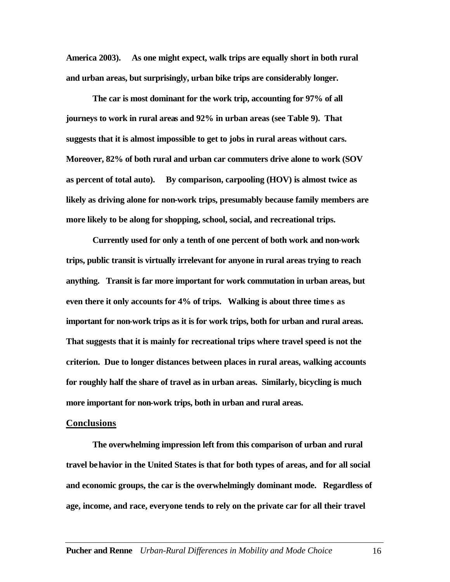**America 2003). As one might expect, walk trips are equally short in both rural and urban areas, but surprisingly, urban bike trips are considerably longer.**

**The car is most dominant for the work trip, accounting for 97% of all journeys to work in rural areas and 92% in urban areas (see Table 9). That suggests that it is almost impossible to get to jobs in rural areas without cars. Moreover, 82% of both rural and urban car commuters drive alone to work (SOV as percent of total auto). By comparison, carpooling (HOV) is almost twice as likely as driving alone for non-work trips, presumably because family members are more likely to be along for shopping, school, social, and recreational trips.**

**Currently used for only a tenth of one percent of both work and non-work trips, public transit is virtually irrelevant for anyone in rural areas trying to reach anything. Transit is far more important for work commutation in urban areas, but even there it only accounts for 4% of trips. Walking is about three times as important for non-work trips as it is for work trips, both for urban and rural areas. That suggests that it is mainly for recreational trips where travel speed is not the criterion. Due to longer distances between places in rural areas, walking accounts for roughly half the share of travel as in urban areas. Similarly, bicycling is much more important for non-work trips, both in urban and rural areas.**

### **Conclusions**

**The overwhelming impression left from this comparison of urban and rural travel behavior in the United States is that for both types of areas, and for all social and economic groups, the car is the overwhelmingly dominant mode. Regardless of age, income, and race, everyone tends to rely on the private car for all their travel**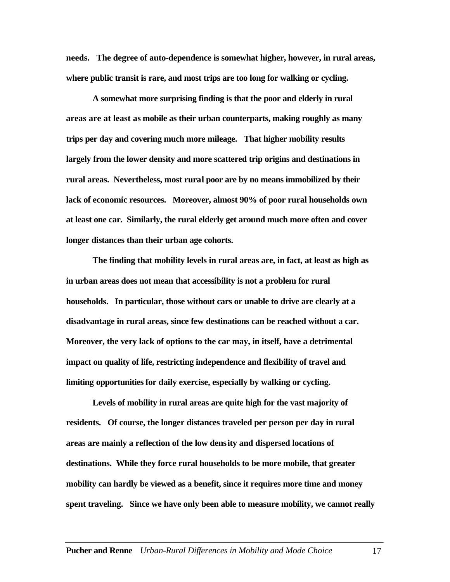**needs. The degree of auto-dependence is somewhat higher, however, in rural areas, where public transit is rare, and most trips are too long for walking or cycling.** 

**A somewhat more surprising finding is that the poor and elderly in rural areas are at least as mobile as their urban counterparts, making roughly as many trips per day and covering much more mileage. That higher mobility results largely from the lower density and more scattered trip origins and destinations in rural areas. Nevertheless, most rural poor are by no means immobilized by their lack of economic resources. Moreover, almost 90% of poor rural households own at least one car. Similarly, the rural elderly get around much more often and cover longer distances than their urban age cohorts.** 

**The finding that mobility levels in rural areas are, in fact, at least as high as in urban areas does not mean that accessibility is not a problem for rural households. In particular, those without cars or unable to drive are clearly at a disadvantage in rural areas, since few destinations can be reached without a car. Moreover, the very lack of options to the car may, in itself, have a detrimental impact on quality of life, restricting independence and flexibility of travel and limiting opportunities for daily exercise, especially by walking or cycling.**

**Levels of mobility in rural areas are quite high for the vast majority of residents. Of course, the longer distances traveled per person per day in rural areas are mainly a reflection of the low density and dispersed locations of destinations. While they force rural households to be more mobile, that greater mobility can hardly be viewed as a benefit, since it requires more time and money spent traveling. Since we have only been able to measure mobility, we cannot really**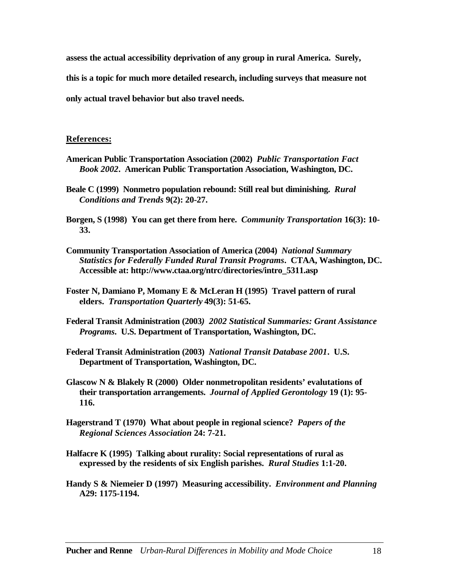**assess the actual accessibility deprivation of any group in rural America. Surely,** 

**this is a topic for much more detailed research, including surveys that measure not** 

**only actual travel behavior but also travel needs.** 

## **References:**

- **American Public Transportation Association (2002)** *Public Transportation Fact Book 2002***. American Public Transportation Association, Washington, DC.**
- **Beale C (1999) Nonmetro population rebound: Still real but diminishing.** *Rural Conditions and Trends* **9(2): 20-27.**
- **Borgen, S (1998) You can get there from here.** *Community Transportation* **16(3): 10- 33.**
- **Community Transportation Association of America (2004)** *National Summary Statistics for Federally Funded Rural Transit Programs***. CTAA, Washington, DC. Accessible at: http://www.ctaa.org/ntrc/directories/intro\_5311.asp**
- **Foster N, Damiano P, Momany E & McLeran H (1995) Travel pattern of rural elders.** *Transportation Quarterly* **49(3): 51-65.**
- **Federal Transit Administration (2003***) 2002 Statistical Summaries: Grant Assistance Programs***. U.S. Department of Transportation, Washington, DC.**
- **Federal Transit Administration (2003)** *National Transit Database 2001***. U.S. Department of Transportation, Washington, DC.**
- **Glascow N & Blakely R (2000) Older nonmetropolitan residents' evalutations of their transportation arrangements.** *Journal of Applied Gerontology* **19 (1): 95- 116.**
- **Hagerstrand T (1970) What about people in regional science?** *Papers of the Regional Sciences Association* **24: 7-21.**
- **Halfacre K (1995) Talking about rurality: Social representations of rural as expressed by the residents of six English parishes.** *Rural Studies* **1:1-20.**
- **Handy S & Niemeier D (1997) Measuring accessibility.** *Environment and Planning* **A29: 1175-1194.**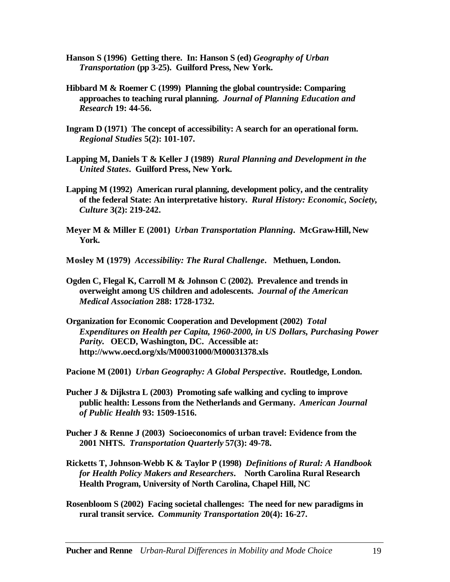- **Hanson S (1996) Getting there. In: Hanson S (ed)** *Geography of Urban Transportation* **(pp 3-25). Guilford Press, New York.**
- **Hibbard M & Roemer C (1999) Planning the global countryside: Comparing approaches to teaching rural planning.** *Journal of Planning Education and Research* **19: 44-56.**
- **Ingram D (1971) The concept of accessibility: A search for an operational form.**  *Regional Studies* **5(2): 101-107.**
- **Lapping M, Daniels T & Keller J (1989)** *Rural Planning and Development in the United States***. Guilford Press, New York.**
- **Lapping M (1992) American rural planning, development policy, and the centrality of the federal State: An interpretative history.** *Rural History: Economic, Society, Culture* **3(2): 219-242.**
- **Meyer M & Miller E (2001)** *Urban Transportation Planning***. McGraw-Hill, New York.**

**Mosley M (1979)** *Accessibility: The Rural Challenge***. Methuen, London.**

- **Ogden C, Flegal K, Carroll M & Johnson C (2002). Prevalence and trends in overweight among US children and adolescents.** *Journal of the American Medical Association* **288: 1728-1732.**
- **Organization for Economic Cooperation and Development (2002)** *Total Expenditures on Health per Capita, 1960-2000, in US Dollars, Purchasing Power Parity***. OECD, Washington, DC. Accessible at: http://www.oecd.org/xls/M00031000/M00031378.xls**

**Pacione M (2001)** *Urban Geography: A Global Perspective***. Routledge, London.**

- **Pucher J & Dijkstra L (2003) Promoting safe walking and cycling to improve public health: Lessons from the Netherlands and Germany.** *American Journal of Public Health* **93: 1509-1516.**
- **Pucher J & Renne J (2003) Socioeconomics of urban travel: Evidence from the 2001 NHTS.** *Transportation Quarterly* **57(3): 49-78.**
- **Ricketts T, Johnson-Webb K & Taylor P (1998)** *Definitions of Rural: A Handbook for Health Policy Makers and Researchers***. North Carolina Rural Research Health Program, University of North Carolina, Chapel Hill, NC**
- **Rosenbloom S (2002) Facing societal challenges: The need for new paradigms in rural transit service.** *Community Transportation* **20(4): 16-27.**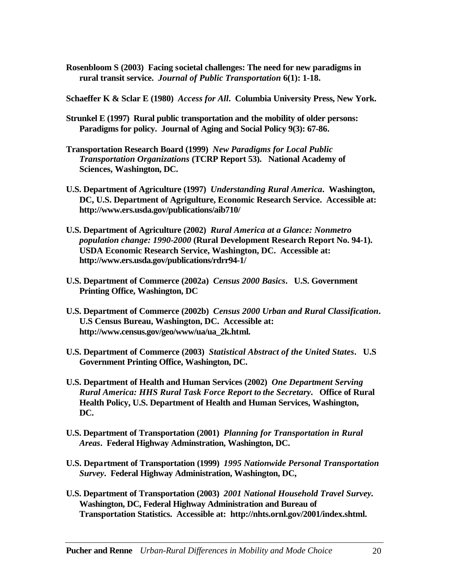**Rosenbloom S (2003) Facing societal challenges: The need for new paradigms in rural transit service.** *Journal of Public Transportation* **6(1): 1-18.**

**Schaeffer K & Sclar E (1980)** *Access for All***. Columbia University Press, New York.**

- **Strunkel E (1997) Rural public transportation and the mobility of older persons: Paradigms for policy. Journal of Aging and Social Policy 9(3): 67-86.**
- **Transportation Research Board (1999)** *New Paradigms for Local Public Transportation Organizations* **(TCRP Report 53). National Academy of Sciences, Washington, DC.**
- **U.S. Department of Agriculture (1997)** *Understanding Rural America***. Washington, DC, U.S. Department of Agrigulture, Economic Research Service. Accessible at: http://www.ers.usda.gov/publications/aib710/**
- **U.S. Department of Agriculture (2002)** *Rural America at a Glance: Nonmetro population change: 1990-2000* **(Rural Development Research Report No. 94-1). USDA Economic Research Service, Washington, DC. Accessible at: http://www.ers.usda.gov/publications/rdrr94-1/**
- **U.S. Department of Commerce (2002a)** *Census 2000 Basics***. U.S. Government Printing Office, Washington, DC**
- **U.S. Department of Commerce (2002b)** *Census 2000 Urban and Rural Classification***. U.S Census Bureau, Washington, DC. Accessible at: http://www.census.gov/geo/www/ua/ua\_2k.html.**
- **U.S. Department of Commerce (2003)** *Statistical Abstract of the United States***. U.S Government Printing Office, Washington, DC.**
- **U.S. Department of Health and Human Services (2002)** *One Department Serving Rural America: HHS Rural Task Force Report to the Secretary***. Office of Rural Health Policy, U.S. Department of Health and Human Services, Washington, DC.**
- **U.S. Department of Transportation (2001)** *Planning for Transportation in Rural Areas***. Federal Highway Adminstration, Washington, DC.**
- **U.S. Department of Transportation (1999)** *1995 Nationwide Personal Transportation Survey***. Federal Highway Administration, Washington, DC,**
- **U.S. Department of Transportation (2003)** *2001 National Household Travel Survey.* **Washington, DC, Federal Highway Administration and Bureau of Transportation Statistics. Accessible at: http://nhts.ornl.gov/2001/index.shtml.**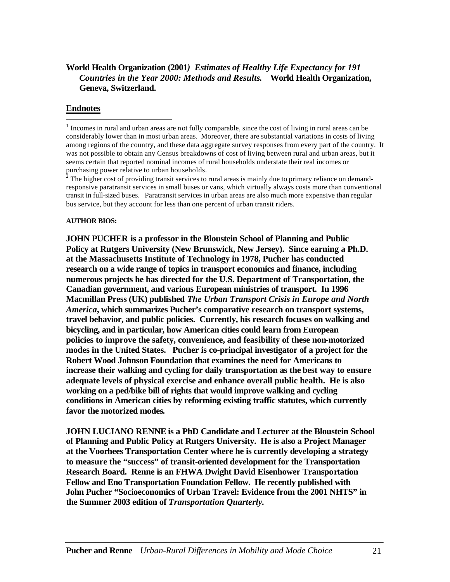# **World Health Organization (2001***) Estimates of Healthy Life Expectancy for 191 Countries in the Year 2000: Methods and Results***. World Health Organization, Geneva, Switzerland.**

# **Endnotes**

 $\overline{a}$ 

 $<sup>1</sup>$  Incomes in rural and urban areas are not fully comparable, since the cost of living in rural areas can be</sup> considerably lower than in most urban areas. Moreover, there are substantial variations in costs of living among regions of the country, and these data aggregate survey responses from every part of the country. It was not possible to obtain any Census breakdowns of cost of living between rural and urban areas, but it seems certain that reported nominal incomes of rural households understate their real incomes or purchasing power relative to urban households.

 $^2$  The higher cost of providing transit services to rural areas is mainly due to primary reliance on demandresponsive paratransit services in small buses or vans, which virtually always costs more than conventional transit in full-sized buses. Paratransit services in urban areas are also much more expensive than regular bus service, but they account for less than one percent of urban transit riders.

### **AUTHOR BIOS:**

**JOHN PUCHER is a professor in the Bloustein School of Planning and Public Policy at Rutgers University (New Brunswick, New Jersey). Since earning a Ph.D. at the Massachusetts Institute of Technology in 1978, Pucher has conducted research on a wide range of topics in transport economics and finance, including numerous projects he has directed for the U.S. Department of Transportation, the Canadian government, and various European ministries of transport. In 1996 Macmillan Press (UK) published** *The Urban Transport Crisis in Europe and North America***, which summarizes Pucher's comparative research on transport systems, travel behavior, and public policies. Currently, his research focuses on walking and bicycling, and in particular, how American cities could learn from European policies to improve the safety, convenience, and feasibility of these non-motorized modes in the United States. Pucher is co-principal investigator of a project for the Robert Wood Johnson Foundation that examines the need for Americans to increase their walking and cycling for daily transportation as the best way to ensure adequate levels of physical exercise and enhance overall public health. He is also working on a ped/bike bill of rights that would improve walking and cycling conditions in American cities by reforming existing traffic statutes, which currently favor the motorized modes***.*

**JOHN LUCIANO RENNE is a PhD Candidate and Lecturer at the Bloustein School of Planning and Public Policy at Rutgers University. He is also a Project Manager at the Voorhees Transportation Center where he is currently developing a strategy to measure the "success" of transit-oriented development for the Transportation Research Board. Renne is an FHWA Dwight David Eisenhower Transportation Fellow and Eno Transportation Foundation Fellow. He recently published with John Pucher "Socioeconomics of Urban Travel: Evidence from the 2001 NHTS" in the Summer 2003 edition of** *Transportation Quarterly.*